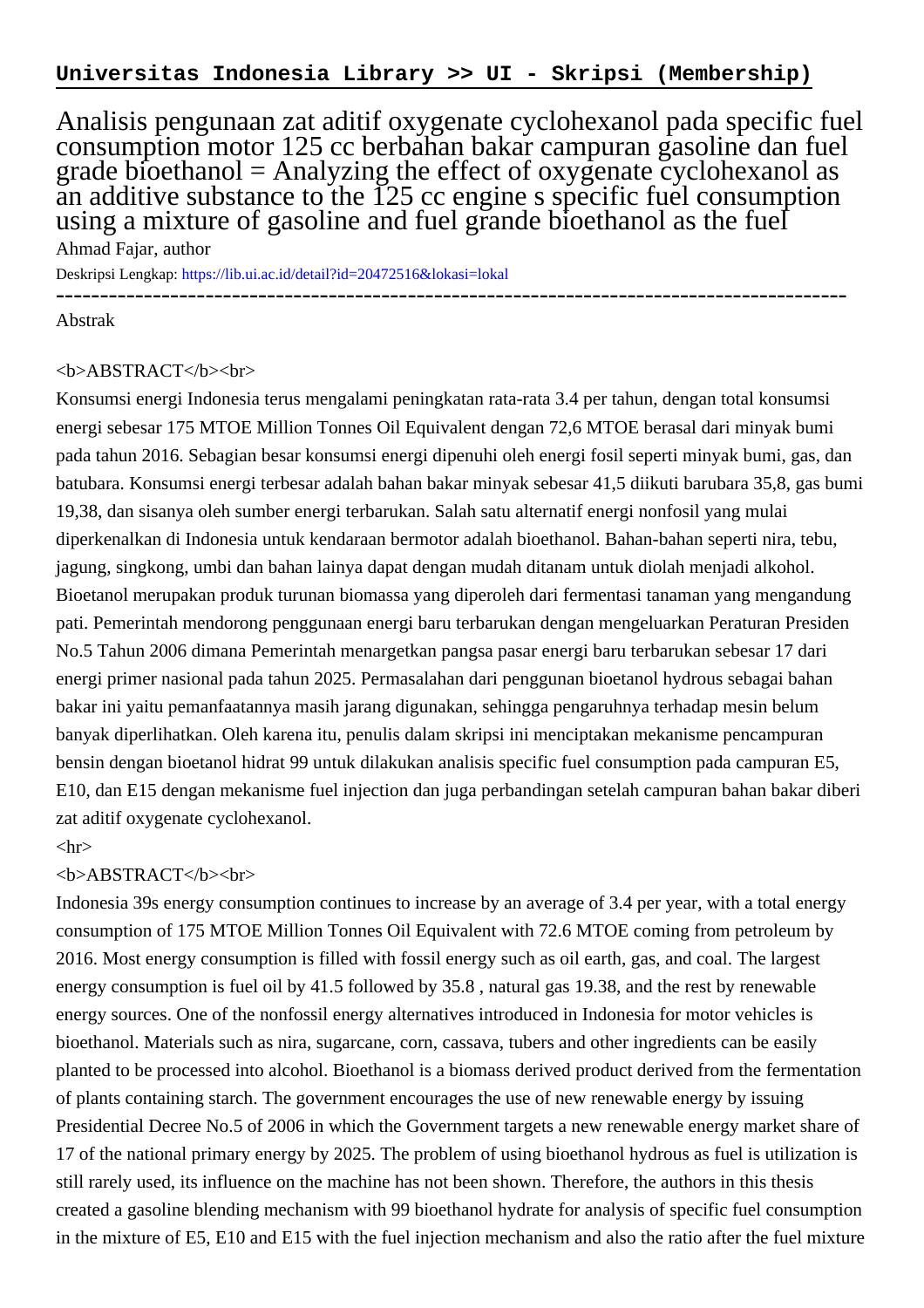Analisis pengunaan zat aditif oxygenate cyclohexanol pada specific fuel consumption motor 125 cc berbahan bakar campuran gasoline dan fuel grade bioethanol = Analyzing the effect of oxygenate cyclohexanol as an additive substance to the 125 cc engine s specific fuel consumption using a mixture of gasoline and fuel grande bioethanol as the fuel

Ahmad Fajar, author Deskripsi Lengkap:<https://lib.ui.ac.id/detail?id=20472516&lokasi=lokal> ------------------------------------------------------------------------------------------

Abstrak

## <b>ABSTRACT</b><br>

Konsumsi energi Indonesia terus mengalami peningkatan rata-rata 3.4 per tahun, dengan total konsumsi energi sebesar 175 MTOE Million Tonnes Oil Equivalent dengan 72,6 MTOE berasal dari minyak bumi pada tahun 2016. Sebagian besar konsumsi energi dipenuhi oleh energi fosil seperti minyak bumi, gas, dan batubara. Konsumsi energi terbesar adalah bahan bakar minyak sebesar 41,5 diikuti barubara 35,8, gas bumi 19,38, dan sisanya oleh sumber energi terbarukan. Salah satu alternatif energi nonfosil yang mulai diperkenalkan di Indonesia untuk kendaraan bermotor adalah bioethanol. Bahan-bahan seperti nira, tebu, jagung, singkong, umbi dan bahan lainya dapat dengan mudah ditanam untuk diolah menjadi alkohol. Bioetanol merupakan produk turunan biomassa yang diperoleh dari fermentasi tanaman yang mengandung pati. Pemerintah mendorong penggunaan energi baru terbarukan dengan mengeluarkan Peraturan Presiden No.5 Tahun 2006 dimana Pemerintah menargetkan pangsa pasar energi baru terbarukan sebesar 17 dari energi primer nasional pada tahun 2025. Permasalahan dari penggunan bioetanol hydrous sebagai bahan bakar ini yaitu pemanfaatannya masih jarang digunakan, sehingga pengaruhnya terhadap mesin belum banyak diperlihatkan. Oleh karena itu, penulis dalam skripsi ini menciptakan mekanisme pencampuran bensin dengan bioetanol hidrat 99 untuk dilakukan analisis specific fuel consumption pada campuran E5, E10, dan E15 dengan mekanisme fuel injection dan juga perbandingan setelah campuran bahan bakar diberi zat aditif oxygenate cyclohexanol.

## $\langle$ hr $>$

## <b>ABSTRACT</b><br>

Indonesia 39s energy consumption continues to increase by an average of 3.4 per year, with a total energy consumption of 175 MTOE Million Tonnes Oil Equivalent with 72.6 MTOE coming from petroleum by 2016. Most energy consumption is filled with fossil energy such as oil earth, gas, and coal. The largest energy consumption is fuel oil by 41.5 followed by 35.8 , natural gas 19.38, and the rest by renewable energy sources. One of the nonfossil energy alternatives introduced in Indonesia for motor vehicles is bioethanol. Materials such as nira, sugarcane, corn, cassava, tubers and other ingredients can be easily planted to be processed into alcohol. Bioethanol is a biomass derived product derived from the fermentation of plants containing starch. The government encourages the use of new renewable energy by issuing Presidential Decree No.5 of 2006 in which the Government targets a new renewable energy market share of 17 of the national primary energy by 2025. The problem of using bioethanol hydrous as fuel is utilization is still rarely used, its influence on the machine has not been shown. Therefore, the authors in this thesis created a gasoline blending mechanism with 99 bioethanol hydrate for analysis of specific fuel consumption in the mixture of E5, E10 and E15 with the fuel injection mechanism and also the ratio after the fuel mixture